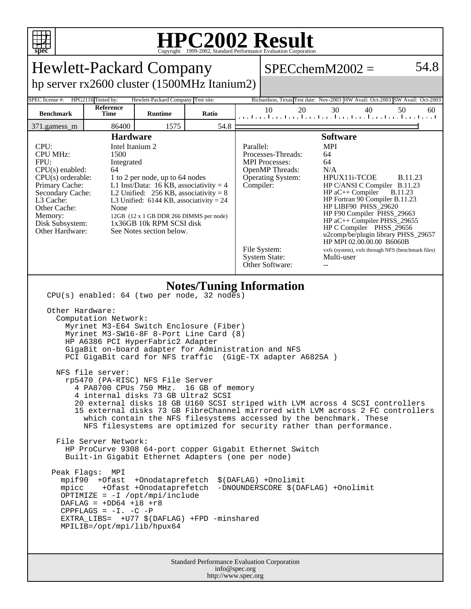

## **HPC2002 Result**

| <b>Hewlett-Packard Company</b>                                                                                                                                                                                                                                                                                                                                                                                                                                                                                                                                                                                                                                                                                                                                                                                                                                                                                                                                                                                                                                                                                                                                                                                                                                                                          |                   |                |       |                                                                                                                                                                                                                                                                                                                                                                                                                                                                                                                                                                                                                                                       |          | $SPECchemM2002 =$                                                       | 54.8     |
|---------------------------------------------------------------------------------------------------------------------------------------------------------------------------------------------------------------------------------------------------------------------------------------------------------------------------------------------------------------------------------------------------------------------------------------------------------------------------------------------------------------------------------------------------------------------------------------------------------------------------------------------------------------------------------------------------------------------------------------------------------------------------------------------------------------------------------------------------------------------------------------------------------------------------------------------------------------------------------------------------------------------------------------------------------------------------------------------------------------------------------------------------------------------------------------------------------------------------------------------------------------------------------------------------------|-------------------|----------------|-------|-------------------------------------------------------------------------------------------------------------------------------------------------------------------------------------------------------------------------------------------------------------------------------------------------------------------------------------------------------------------------------------------------------------------------------------------------------------------------------------------------------------------------------------------------------------------------------------------------------------------------------------------------------|----------|-------------------------------------------------------------------------|----------|
| hp server rx2600 cluster (1500MHz Itanium2)                                                                                                                                                                                                                                                                                                                                                                                                                                                                                                                                                                                                                                                                                                                                                                                                                                                                                                                                                                                                                                                                                                                                                                                                                                                             |                   |                |       |                                                                                                                                                                                                                                                                                                                                                                                                                                                                                                                                                                                                                                                       |          |                                                                         |          |
| SPEC license #:<br>HPG2116 Tested by:<br>Hewlett-Packard Company Test site:<br>Richardson, Texas Test date: Nov-2003 HW Avail: Oct-2003 SW Avail: Oct-2003                                                                                                                                                                                                                                                                                                                                                                                                                                                                                                                                                                                                                                                                                                                                                                                                                                                                                                                                                                                                                                                                                                                                              |                   |                |       |                                                                                                                                                                                                                                                                                                                                                                                                                                                                                                                                                                                                                                                       |          |                                                                         |          |
| <b>Benchmark</b>                                                                                                                                                                                                                                                                                                                                                                                                                                                                                                                                                                                                                                                                                                                                                                                                                                                                                                                                                                                                                                                                                                                                                                                                                                                                                        | Reference<br>Time | <b>Runtime</b> | Ratio |                                                                                                                                                                                                                                                                                                                                                                                                                                                                                                                                                                                                                                                       | 10<br>20 | 30<br>40<br>المتطلبين المتطلبين المتطلبين المتطلبين المتطلبين المتحلمين | 50<br>60 |
| 371.gamess_m                                                                                                                                                                                                                                                                                                                                                                                                                                                                                                                                                                                                                                                                                                                                                                                                                                                                                                                                                                                                                                                                                                                                                                                                                                                                                            | 86400             | 1575           | 54.8  |                                                                                                                                                                                                                                                                                                                                                                                                                                                                                                                                                                                                                                                       |          |                                                                         |          |
| <b>Hardware</b><br>Intel Itanium 2<br>CPU:<br><b>CPU MHz:</b><br>1500<br>FPU:<br>Integrated<br>$CPU(s)$ enabled:<br>64<br>$CPU(s)$ orderable:<br>1 to 2 per node, up to 64 nodes<br>Primary Cache:<br>L1 Inst/Data: 16 KB, associativity = $4$<br>Secondary Cache:<br>L2 Unified: $256$ KB, associativity = 8<br>L3 Cache:<br>L3 Unified: $6144$ KB, associativity = 24<br>Other Cache:<br>None<br>Memory:<br>12GB (12 x 1 GB DDR 266 DIMMS per node)<br>1x36GB 10k RPM SCSI disk<br>Disk Subsystem:<br>Other Hardware:<br>See Notes section below.                                                                                                                                                                                                                                                                                                                                                                                                                                                                                                                                                                                                                                                                                                                                                     |                   |                |       | <b>Software</b><br>Parallel:<br><b>MPI</b><br>Processes-Threads:<br>64<br><b>MPI</b> Processes:<br>64<br><b>OpenMP</b> Threads:<br>N/A<br>HPUX11i-TCOE<br><b>B.11.23</b><br><b>Operating System:</b><br>Compiler:<br>HP C/ANSI C Compiler B.11.23<br>$HP$ aC++ Compiler<br><b>B.11.23</b><br>HP Fortran 90 Compiler B.11.23<br>HP LIBF90 PHSS_29620<br>HP F90 Compiler PHSS_29663<br>HP aC++ Compiler PHSS_29655<br>HP C Compiler PHSS_29656<br>u2comp/be/plugin library PHSS_29657<br>HP MPI 02.00.00.00 B6060B<br>File System:<br>vxfs (system), vxfs through NFS (benchmark files)<br><b>System State:</b><br>Multi-user<br>Other Software:<br>$-$ |          |                                                                         |          |
| <b>Notes/Tuning Information</b><br>CPU(s) enabled: 64 (two per node, 32 nodes)<br>Other Hardware:<br>Computation Network:<br>Myrinet M3-E64 Switch Enclosure (Fiber)<br>Myrinet M3-SW16-8F 8-Port Line Card (8)<br>HP A6386 PCI HyperFabric2 Adapter<br>GigaBit on-board adapter for Administration and NFS<br>PCI GigaBit card for NFS traffic (GigE-TX adapter A6825A )<br>NFS file server:<br>rp5470 (PA-RISC) NFS File Server<br>4 PA8700 CPUs 750 MHz.<br>16 GB of memory<br>4 internal disks 73 GB Ultra2 SCSI<br>20 external disks 18 GB U160 SCSI striped with LVM across 4 SCSI controllers<br>15 external disks 73 GB FibreChannel mirrored with LVM across 2 FC controllers<br>which contain the NFS filesystems accessed by the benchmark. These<br>NFS filesystems are optimized for security rather than performance.<br>File Server Network:<br>HP ProCurve 9308 64-port copper Gigabit Ethernet Switch<br>Built-in Gigabit Ethernet Adapters (one per node)<br>Peak Flags: MPI<br>mpif90 +Ofast +Onodataprefetch<br>\$(DAFLAG) +Onolimit<br>mpicc +Ofast +Onodataprefetch<br>-DNOUNDERSCORE \$(DAFLAG) +Onolimit<br>OPTIMIZE = $-I$ /opt/mpi/include<br>DAFLAG = $+DD64$ +18 +r8<br>CPPFLAGS = $-I. -C$ -P<br>EXTRA_LIBS= +U77 \$(DAFLAG) +FPD -minshared<br>MPILIB=/opt/mpi/lib/hpux64 |                   |                |       |                                                                                                                                                                                                                                                                                                                                                                                                                                                                                                                                                                                                                                                       |          |                                                                         |          |
| Standard Performance Evaluation Corporation                                                                                                                                                                                                                                                                                                                                                                                                                                                                                                                                                                                                                                                                                                                                                                                                                                                                                                                                                                                                                                                                                                                                                                                                                                                             |                   |                |       |                                                                                                                                                                                                                                                                                                                                                                                                                                                                                                                                                                                                                                                       |          |                                                                         |          |

info@spec.org http://www.spec.org